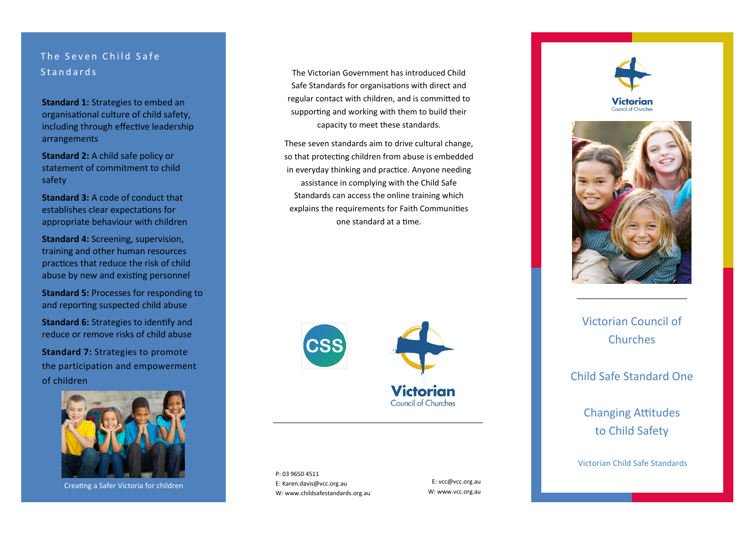# The Seven Child Safe **Standards**

**Standard 1: Strategies to embed an** organisational culture of child safety, including through effective leadership arrangements

**Standard 2:** A child safe policy or statement of commitment to child safety

**Standard 3:** A code of conduct that establishes clear expectations for appropriate behaviour with children

**Standard 4:** Screening, supervision, training and other human resources practices that reduce the risk of child abuse by new and existing personnel

**Standard 5: Processes for responding to** and reporting suspected child abuse

**Standard 6:** Strategies to identify and reduce or remove risks of child abuse

**Standard 7: Strategies to promote** the participation and empowerment of children



Creating a Safer Victoria for children

The Victorian Government has introduced Child Safe Standards for organisations with direct and regular contact with children, and is committed to supporting and working with them to build their capacity to meet these standards.

These seven standards aim to drive cultural change, so that protecting children from abuse is embedded in everyday thinking and practice. Anyone needing assistance in complying with the Child Safe Standards can access the online training which explains the requirements for Faith Communities one standard at a time.



P: 03 9650 4511 E: Karen.davis@vcc.org.au W: www.childsafestandards.org.au

E: vcc@vcc.org.au W: www.vcc.org.au





Victorian Council of **Churches** 

Child Safe Standard One

Changing Attitudes to Child Safety

Victorian Child Safe Standards